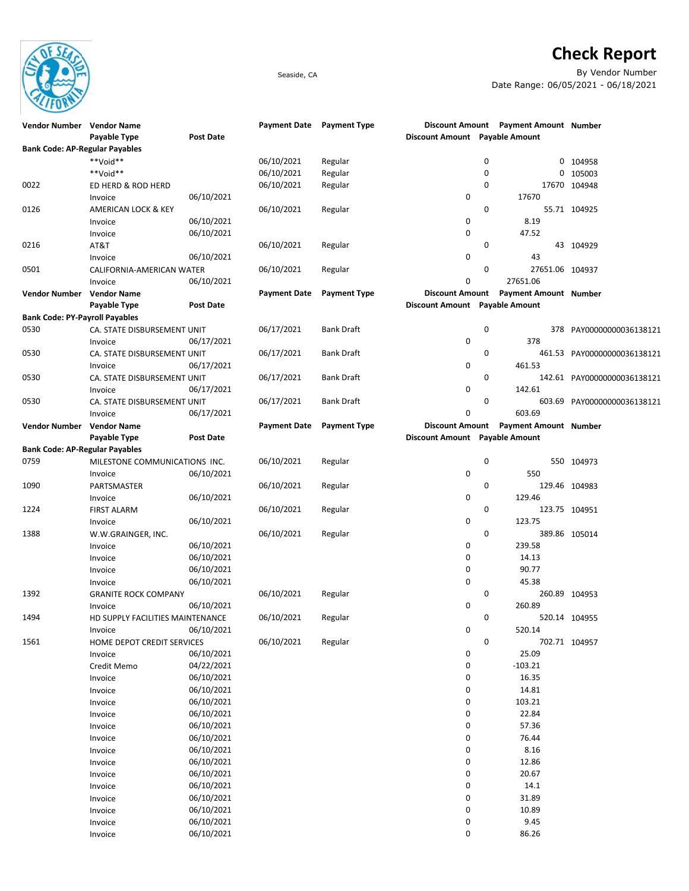

## **Check Report**

Seaside, CA By Vendor Number Date Range: 06/05/2021 - 06/18/2021

| Vendor Number Vendor Name             |                                  |                  | <b>Payment Date</b> | <b>Payment Type</b> |                                |   | Discount Amount Payment Amount Number |                             |
|---------------------------------------|----------------------------------|------------------|---------------------|---------------------|--------------------------------|---|---------------------------------------|-----------------------------|
|                                       | Payable Type                     | <b>Post Date</b> |                     |                     | Discount Amount Payable Amount |   |                                       |                             |
| <b>Bank Code: AP-Regular Payables</b> |                                  |                  |                     |                     |                                |   |                                       |                             |
|                                       | **Void**                         |                  | 06/10/2021          | Regular             |                                | 0 |                                       | 0 104958                    |
|                                       | **Void**                         |                  | 06/10/2021          | Regular             |                                | 0 | 0                                     | 105003                      |
| 0022                                  | ED HERD & ROD HERD               |                  | 06/10/2021          | Regular             |                                | 0 |                                       | 17670 104948                |
|                                       | Invoice                          | 06/10/2021       |                     |                     | 0                              |   | 17670                                 |                             |
| 0126                                  | AMERICAN LOCK & KEY              |                  | 06/10/2021          | Regular             |                                | 0 |                                       | 55.71 104925                |
|                                       | Invoice                          | 06/10/2021       |                     |                     | 0                              |   | 8.19                                  |                             |
|                                       |                                  |                  |                     |                     | 0                              |   | 47.52                                 |                             |
|                                       | Invoice                          | 06/10/2021       |                     |                     |                                |   |                                       |                             |
| 0216                                  | AT&T                             |                  | 06/10/2021          | Regular             |                                | 0 |                                       | 43 104929                   |
|                                       | Invoice                          | 06/10/2021       |                     |                     | 0                              |   | 43                                    |                             |
| 0501                                  | CALIFORNIA-AMERICAN WATER        |                  | 06/10/2021          | Regular             |                                | 0 | 27651.06 104937                       |                             |
|                                       | Invoice                          | 06/10/2021       |                     |                     | 0                              |   | 27651.06                              |                             |
| Vendor Number Vendor Name             |                                  |                  | <b>Payment Date</b> | <b>Payment Type</b> |                                |   | Discount Amount Payment Amount Number |                             |
|                                       | Payable Type                     | <b>Post Date</b> |                     |                     | Discount Amount Payable Amount |   |                                       |                             |
| <b>Bank Code: PY-Payroll Payables</b> |                                  |                  |                     |                     |                                |   |                                       |                             |
| 0530                                  | CA. STATE DISBURSEMENT UNIT      |                  | 06/17/2021          | <b>Bank Draft</b>   |                                | 0 |                                       | 378 PAY00000000036138121    |
|                                       | Invoice                          | 06/17/2021       |                     |                     | 0                              |   | 378                                   |                             |
| 0530                                  | CA. STATE DISBURSEMENT UNIT      |                  | 06/17/2021          | <b>Bank Draft</b>   |                                | 0 |                                       | 461.53 PAY00000000036138121 |
|                                       | Invoice                          | 06/17/2021       |                     |                     | 0                              |   | 461.53                                |                             |
| 0530                                  | CA. STATE DISBURSEMENT UNIT      |                  | 06/17/2021          | <b>Bank Draft</b>   |                                | 0 |                                       | 142.61 PAY00000000036138121 |
|                                       |                                  |                  |                     |                     |                                |   |                                       |                             |
|                                       | Invoice                          | 06/17/2021       |                     |                     | 0                              |   | 142.61                                |                             |
| 0530                                  | CA. STATE DISBURSEMENT UNIT      |                  | 06/17/2021          | <b>Bank Draft</b>   |                                | 0 |                                       | 603.69 PAY00000000036138121 |
|                                       | Invoice                          | 06/17/2021       |                     |                     | 0                              |   | 603.69                                |                             |
| Vendor Number Vendor Name             |                                  |                  | <b>Payment Date</b> | <b>Payment Type</b> | <b>Discount Amount</b>         |   | <b>Payment Amount Number</b>          |                             |
|                                       | Payable Type                     | <b>Post Date</b> |                     |                     | Discount Amount Payable Amount |   |                                       |                             |
| <b>Bank Code: AP-Regular Payables</b> |                                  |                  |                     |                     |                                |   |                                       |                             |
| 0759                                  | MILESTONE COMMUNICATIONS INC.    |                  | 06/10/2021          | Regular             |                                | 0 |                                       | 550 104973                  |
|                                       | Invoice                          | 06/10/2021       |                     |                     | 0                              |   | 550                                   |                             |
| 1090                                  | PARTSMASTER                      |                  | 06/10/2021          | Regular             |                                | 0 |                                       | 129.46 104983               |
|                                       | Invoice                          | 06/10/2021       |                     |                     | 0                              |   | 129.46                                |                             |
| 1224                                  | <b>FIRST ALARM</b>               |                  | 06/10/2021          | Regular             |                                | 0 |                                       | 123.75 104951               |
|                                       | Invoice                          | 06/10/2021       |                     |                     | 0                              |   | 123.75                                |                             |
| 1388                                  | W.W.GRAINGER, INC.               |                  | 06/10/2021          | Regular             |                                | 0 |                                       | 389.86 105014               |
|                                       |                                  |                  |                     |                     | 0                              |   | 239.58                                |                             |
|                                       | Invoice                          | 06/10/2021       |                     |                     |                                |   |                                       |                             |
|                                       | Invoice                          | 06/10/2021       |                     |                     | 0                              |   | 14.13                                 |                             |
|                                       | Invoice                          | 06/10/2021       |                     |                     | 0                              |   | 90.77                                 |                             |
|                                       | Invoice                          | 06/10/2021       |                     |                     | 0                              |   | 45.38                                 |                             |
| 1392                                  | <b>GRANITE ROCK COMPANY</b>      |                  | 06/10/2021          | Regular             |                                | 0 |                                       | 260.89 104953               |
|                                       | Invoice                          | 06/10/2021       |                     |                     | 0                              |   | 260.89                                |                             |
| 1494                                  | HD SUPPLY FACILITIES MAINTENANCE |                  | 06/10/2021          | Regular             |                                | 0 |                                       | 520.14 104955               |
|                                       | Invoice                          | 06/10/2021       |                     |                     | 0                              |   | 520.14                                |                             |
| 1561                                  | HOME DEPOT CREDIT SERVICES       |                  | 06/10/2021          | Regular             |                                | 0 |                                       | 702.71 104957               |
|                                       | Invoice                          | 06/10/2021       |                     |                     | 0                              |   | 25.09                                 |                             |
|                                       | Credit Memo                      | 04/22/2021       |                     |                     | $\pmb{0}$                      |   | $-103.21$                             |                             |
|                                       | Invoice                          | 06/10/2021       |                     |                     | 0                              |   | 16.35                                 |                             |
|                                       | Invoice                          | 06/10/2021       |                     |                     | 0                              |   | 14.81                                 |                             |
|                                       | Invoice                          | 06/10/2021       |                     |                     | 0                              |   | 103.21                                |                             |
|                                       | Invoice                          | 06/10/2021       |                     |                     | 0                              |   | 22.84                                 |                             |
|                                       |                                  | 06/10/2021       |                     |                     | 0                              |   | 57.36                                 |                             |
|                                       | Invoice                          |                  |                     |                     |                                |   |                                       |                             |
|                                       | Invoice                          | 06/10/2021       |                     |                     | 0                              |   | 76.44                                 |                             |
|                                       | Invoice                          | 06/10/2021       |                     |                     | 0                              |   | 8.16                                  |                             |
|                                       | Invoice                          | 06/10/2021       |                     |                     | 0                              |   | 12.86                                 |                             |
|                                       | Invoice                          | 06/10/2021       |                     |                     | 0                              |   | 20.67                                 |                             |
|                                       | Invoice                          | 06/10/2021       |                     |                     | 0                              |   | 14.1                                  |                             |
|                                       | Invoice                          | 06/10/2021       |                     |                     | 0                              |   | 31.89                                 |                             |
|                                       | Invoice                          | 06/10/2021       |                     |                     | 0                              |   | 10.89                                 |                             |
|                                       | Invoice                          | 06/10/2021       |                     |                     | 0                              |   | 9.45                                  |                             |
|                                       | Invoice                          | 06/10/2021       |                     |                     | 0                              |   | 86.26                                 |                             |
|                                       |                                  |                  |                     |                     |                                |   |                                       |                             |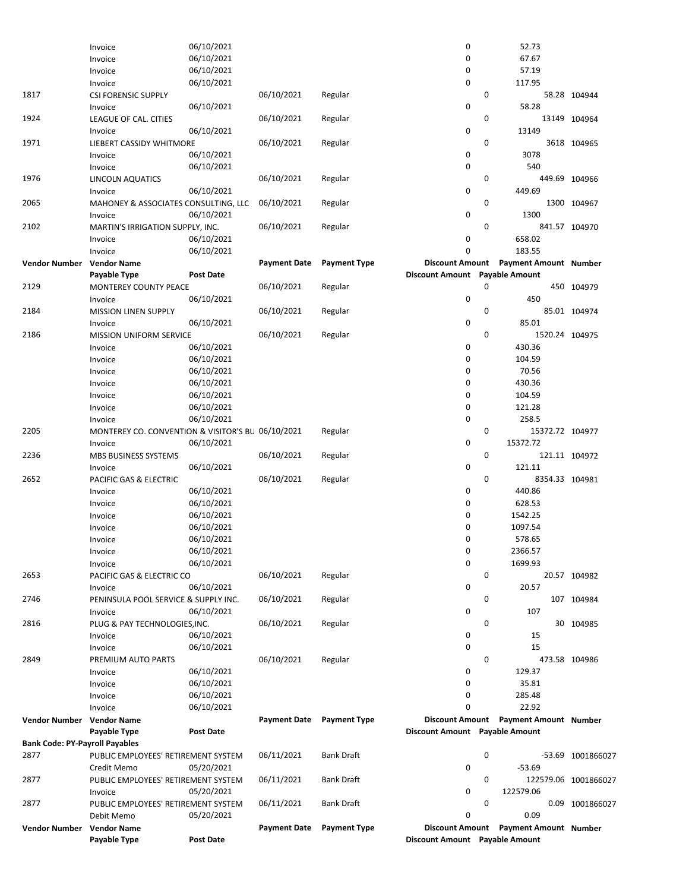|                                       |                                                   |                  |                     |                     | $\mathbf 0$                    |             |                                       |                      |
|---------------------------------------|---------------------------------------------------|------------------|---------------------|---------------------|--------------------------------|-------------|---------------------------------------|----------------------|
|                                       | Invoice                                           | 06/10/2021       |                     |                     |                                |             | 52.73                                 |                      |
|                                       | Invoice                                           | 06/10/2021       |                     |                     | 0                              |             | 67.67                                 |                      |
|                                       | Invoice                                           | 06/10/2021       |                     |                     | 0                              |             | 57.19                                 |                      |
|                                       | Invoice                                           | 06/10/2021       |                     |                     | 0                              |             | 117.95                                |                      |
| 1817                                  | <b>CSI FORENSIC SUPPLY</b>                        |                  | 06/10/2021          | Regular             |                                | 0           |                                       | 58.28 104944         |
|                                       | Invoice                                           | 06/10/2021       |                     |                     | $\mathbf 0$                    |             | 58.28                                 |                      |
| 1924                                  | LEAGUE OF CAL. CITIES                             |                  | 06/10/2021          | Regular             |                                | 0           |                                       | 13149 104964         |
|                                       | Invoice                                           | 06/10/2021       |                     |                     | 0                              |             | 13149                                 |                      |
| 1971                                  | LIEBERT CASSIDY WHITMORE                          |                  | 06/10/2021          | Regular             |                                | 0           |                                       | 3618 104965          |
|                                       | Invoice                                           | 06/10/2021       |                     |                     | 0                              |             | 3078                                  |                      |
|                                       |                                                   |                  |                     |                     | $\mathbf 0$                    |             | 540                                   |                      |
|                                       | Invoice                                           | 06/10/2021       |                     |                     |                                |             |                                       |                      |
| 1976                                  | LINCOLN AQUATICS                                  |                  | 06/10/2021          | Regular             |                                | 0           | 449.69 104966                         |                      |
|                                       | Invoice                                           | 06/10/2021       |                     |                     | 0                              |             | 449.69                                |                      |
| 2065                                  | MAHONEY & ASSOCIATES CONSULTING, LLC              |                  | 06/10/2021          | Regular             |                                | 0           |                                       | 1300 104967          |
|                                       | Invoice                                           | 06/10/2021       |                     |                     | $\mathbf 0$                    |             | 1300                                  |                      |
| 2102                                  | MARTIN'S IRRIGATION SUPPLY, INC.                  |                  | 06/10/2021          | Regular             |                                | 0           | 841.57 104970                         |                      |
|                                       | Invoice                                           | 06/10/2021       |                     |                     | 0                              |             | 658.02                                |                      |
|                                       | Invoice                                           | 06/10/2021       |                     |                     | 0                              |             | 183.55                                |                      |
| <b>Vendor Number</b>                  | <b>Vendor Name</b>                                |                  | <b>Payment Date</b> | <b>Payment Type</b> | <b>Discount Amount</b>         |             | <b>Payment Amount Number</b>          |                      |
|                                       | Payable Type                                      | <b>Post Date</b> |                     |                     | <b>Discount Amount</b>         |             | <b>Payable Amount</b>                 |                      |
| 2129                                  | MONTEREY COUNTY PEACE                             |                  | 06/10/2021          | Regular             |                                | 0           |                                       | 450 104979           |
|                                       |                                                   |                  |                     |                     |                                |             |                                       |                      |
|                                       | Invoice                                           | 06/10/2021       |                     |                     | 0                              |             | 450                                   |                      |
| 2184                                  | <b>MISSION LINEN SUPPLY</b>                       |                  | 06/10/2021          | Regular             |                                | 0           |                                       | 85.01 104974         |
|                                       | Invoice                                           | 06/10/2021       |                     |                     | $\mathbf 0$                    |             | 85.01                                 |                      |
| 2186                                  | <b>MISSION UNIFORM SERVICE</b>                    |                  | 06/10/2021          | Regular             |                                | $\mathbf 0$ | 1520.24 104975                        |                      |
|                                       | Invoice                                           | 06/10/2021       |                     |                     | 0                              |             | 430.36                                |                      |
|                                       | Invoice                                           | 06/10/2021       |                     |                     | 0                              |             | 104.59                                |                      |
|                                       | Invoice                                           | 06/10/2021       |                     |                     | 0                              |             | 70.56                                 |                      |
|                                       | Invoice                                           | 06/10/2021       |                     |                     | 0                              |             | 430.36                                |                      |
|                                       | Invoice                                           | 06/10/2021       |                     |                     | 0                              |             | 104.59                                |                      |
|                                       | Invoice                                           | 06/10/2021       |                     |                     | 0                              |             | 121.28                                |                      |
|                                       |                                                   | 06/10/2021       |                     |                     | 0                              |             | 258.5                                 |                      |
|                                       | Invoice                                           |                  |                     |                     |                                | 0           |                                       |                      |
| 2205                                  | MONTEREY CO. CONVENTION & VISITOR'S BU 06/10/2021 |                  |                     | Regular             |                                |             | 15372.72 104977                       |                      |
|                                       | Invoice                                           | 06/10/2021       |                     |                     | $\mathbf 0$                    |             | 15372.72                              |                      |
| 2236                                  | MBS BUSINESS SYSTEMS                              |                  | 06/10/2021          | Regular             |                                | 0           | 121.11 104972                         |                      |
|                                       | Invoice                                           | 06/10/2021       |                     |                     | $\mathbf 0$                    |             | 121.11                                |                      |
| 2652                                  | PACIFIC GAS & ELECTRIC                            |                  | 06/10/2021          | Regular             |                                | 0           | 8354.33 104981                        |                      |
|                                       | Invoice                                           | 06/10/2021       |                     |                     | 0                              |             | 440.86                                |                      |
|                                       | Invoice                                           | 06/10/2021       |                     |                     | 0                              |             | 628.53                                |                      |
|                                       | Invoice                                           | 06/10/2021       |                     |                     | 0                              |             | 1542.25                               |                      |
|                                       | Invoice                                           | 06/10/2021       |                     |                     | 0                              |             | 1097.54                               |                      |
|                                       | Invoice                                           | 06/10/2021       |                     |                     | 0                              |             | 578.65                                |                      |
|                                       | Invoice                                           | 06/10/2021       |                     |                     | 0                              |             | 2366.57                               |                      |
|                                       | Invoice                                           | 06/10/2021       |                     |                     | 0                              |             | 1699.93                               |                      |
|                                       |                                                   |                  |                     |                     |                                |             |                                       |                      |
| 2653                                  | PACIFIC GAS & ELECTRIC CO                         |                  | 06/10/2021          | Regular             |                                | 0           |                                       | 20.57 104982         |
|                                       | Invoice                                           | 06/10/2021       |                     |                     | 0                              |             | 20.57                                 |                      |
| 2746                                  | PENINSULA POOL SERVICE & SUPPLY INC.              |                  | 06/10/2021          | Regular             |                                | 0           |                                       | 107 104984           |
|                                       | Invoice                                           | 06/10/2021       |                     |                     | 0                              |             | 107                                   |                      |
| 2816                                  | PLUG & PAY TECHNOLOGIES, INC.                     |                  | 06/10/2021          | Regular             |                                | 0           |                                       | 30 104985            |
|                                       | Invoice                                           | 06/10/2021       |                     |                     | 0                              |             | 15                                    |                      |
|                                       | Invoice                                           | 06/10/2021       |                     |                     | $\mathbf 0$                    |             | 15                                    |                      |
| 2849                                  | PREMIUM AUTO PARTS                                |                  | 06/10/2021          | Regular             |                                | 0           | 473.58 104986                         |                      |
|                                       | Invoice                                           | 06/10/2021       |                     |                     | 0                              |             | 129.37                                |                      |
|                                       | Invoice                                           | 06/10/2021       |                     |                     | 0                              |             | 35.81                                 |                      |
|                                       | Invoice                                           | 06/10/2021       |                     |                     | 0                              |             | 285.48                                |                      |
|                                       |                                                   | 06/10/2021       |                     |                     | 0                              |             | 22.92                                 |                      |
|                                       | Invoice                                           |                  |                     |                     |                                |             |                                       |                      |
| Vendor Number                         | <b>Vendor Name</b>                                |                  | <b>Payment Date</b> | <b>Payment Type</b> | <b>Discount Amount</b>         |             | Payment Amount Number                 |                      |
|                                       | Payable Type                                      | Post Date        |                     |                     | Discount Amount Payable Amount |             |                                       |                      |
| <b>Bank Code: PY-Payroll Payables</b> |                                                   |                  |                     |                     |                                |             |                                       |                      |
| 2877                                  | PUBLIC EMPLOYEES' RETIREMENT SYSTEM               |                  | 06/11/2021          | <b>Bank Draft</b>   |                                | 0           |                                       | -53.69 1001866027    |
|                                       | Credit Memo                                       | 05/20/2021       |                     |                     | 0                              |             | $-53.69$                              |                      |
| 2877                                  | PUBLIC EMPLOYEES' RETIREMENT SYSTEM               |                  | 06/11/2021          | <b>Bank Draft</b>   |                                | 0           |                                       | 122579.06 1001866027 |
|                                       | Invoice                                           | 05/20/2021       |                     |                     | 0                              |             | 122579.06                             |                      |
| 2877                                  | PUBLIC EMPLOYEES' RETIREMENT SYSTEM               |                  | 06/11/2021          | <b>Bank Draft</b>   |                                | 0           |                                       | 0.09 1001866027      |
|                                       | Debit Memo                                        | 05/20/2021       |                     |                     | 0                              |             | 0.09                                  |                      |
| <b>Vendor Number</b>                  | <b>Vendor Name</b>                                |                  | <b>Payment Date</b> | <b>Payment Type</b> |                                |             | Discount Amount Payment Amount Number |                      |
|                                       | Payable Type                                      | <b>Post Date</b> |                     |                     | Discount Amount Payable Amount |             |                                       |                      |
|                                       |                                                   |                  |                     |                     |                                |             |                                       |                      |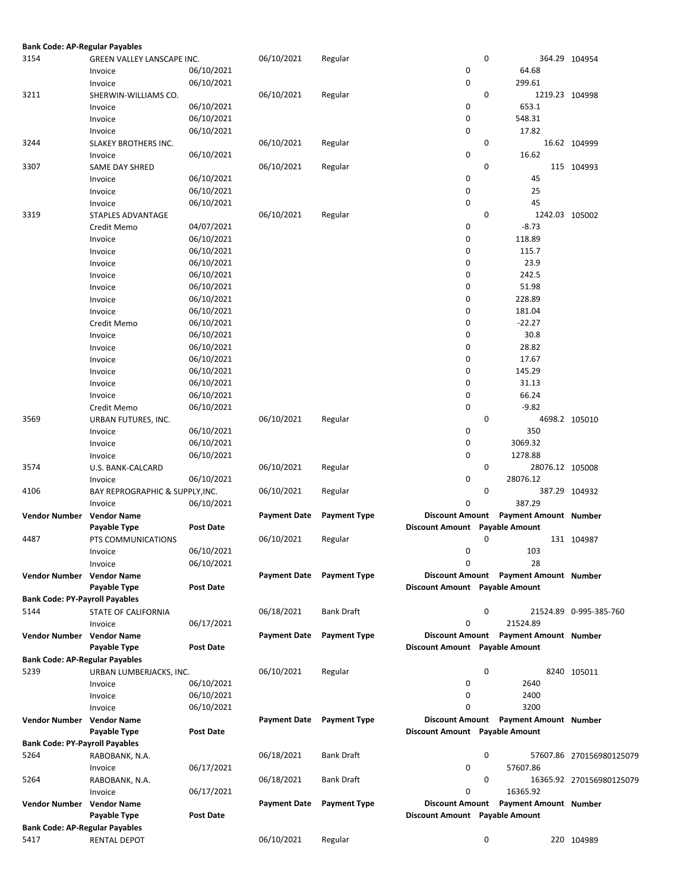| <b>Bank Code: AP-Regular Payables</b> |                                 |                  |                     |                     |                                |   |                              |                          |
|---------------------------------------|---------------------------------|------------------|---------------------|---------------------|--------------------------------|---|------------------------------|--------------------------|
| 3154                                  | GREEN VALLEY LANSCAPE INC.      |                  | 06/10/2021          | Regular             |                                | 0 |                              | 364.29 104954            |
|                                       | Invoice                         | 06/10/2021       |                     |                     | 0                              |   | 64.68                        |                          |
|                                       | Invoice                         | 06/10/2021       |                     |                     | 0                              |   | 299.61                       |                          |
| 3211                                  | SHERWIN-WILLIAMS CO.            |                  | 06/10/2021          | Regular             |                                | 0 | 1219.23 104998               |                          |
|                                       | Invoice                         | 06/10/2021       |                     |                     | 0                              |   | 653.1                        |                          |
|                                       | Invoice                         | 06/10/2021       |                     |                     | 0                              |   | 548.31                       |                          |
|                                       | Invoice                         | 06/10/2021       |                     |                     | 0                              |   | 17.82                        |                          |
| 3244                                  |                                 |                  | 06/10/2021          |                     |                                | 0 |                              | 16.62 104999             |
|                                       | SLAKEY BROTHERS INC.            |                  |                     | Regular             |                                |   |                              |                          |
|                                       | Invoice                         | 06/10/2021       |                     |                     | 0                              |   | 16.62                        |                          |
| 3307                                  | SAME DAY SHRED                  |                  | 06/10/2021          | Regular             |                                | 0 |                              | 115 104993               |
|                                       | Invoice                         | 06/10/2021       |                     |                     | 0                              |   | 45                           |                          |
|                                       | Invoice                         | 06/10/2021       |                     |                     | 0                              |   | 25                           |                          |
|                                       | Invoice                         | 06/10/2021       |                     |                     | 0                              |   | 45                           |                          |
| 3319                                  | STAPLES ADVANTAGE               |                  | 06/10/2021          | Regular             |                                | 0 | 1242.03 105002               |                          |
|                                       | Credit Memo                     | 04/07/2021       |                     |                     | 0                              |   | $-8.73$                      |                          |
|                                       | Invoice                         | 06/10/2021       |                     |                     | 0                              |   | 118.89                       |                          |
|                                       | Invoice                         | 06/10/2021       |                     |                     | 0                              |   | 115.7                        |                          |
|                                       | Invoice                         | 06/10/2021       |                     |                     | 0                              |   | 23.9                         |                          |
|                                       | Invoice                         | 06/10/2021       |                     |                     | 0                              |   | 242.5                        |                          |
|                                       | Invoice                         | 06/10/2021       |                     |                     | 0                              |   | 51.98                        |                          |
|                                       | Invoice                         | 06/10/2021       |                     |                     | 0                              |   | 228.89                       |                          |
|                                       | Invoice                         | 06/10/2021       |                     |                     | 0                              |   | 181.04                       |                          |
|                                       | Credit Memo                     | 06/10/2021       |                     |                     | 0                              |   | $-22.27$                     |                          |
|                                       | Invoice                         | 06/10/2021       |                     |                     | 0                              |   | 30.8                         |                          |
|                                       | Invoice                         | 06/10/2021       |                     |                     | 0                              |   | 28.82                        |                          |
|                                       | Invoice                         | 06/10/2021       |                     |                     | 0                              |   | 17.67                        |                          |
|                                       | Invoice                         | 06/10/2021       |                     |                     | 0                              |   | 145.29                       |                          |
|                                       | Invoice                         | 06/10/2021       |                     |                     | 0                              |   | 31.13                        |                          |
|                                       | Invoice                         | 06/10/2021       |                     |                     | 0                              |   | 66.24                        |                          |
|                                       | Credit Memo                     | 06/10/2021       |                     |                     | 0                              |   | $-9.82$                      |                          |
| 3569                                  | URBAN FUTURES, INC.             |                  | 06/10/2021          | Regular             |                                | 0 |                              | 4698.2 105010            |
|                                       |                                 | 06/10/2021       |                     |                     | 0                              |   | 350                          |                          |
|                                       | Invoice                         |                  |                     |                     | 0                              |   | 3069.32                      |                          |
|                                       | Invoice                         | 06/10/2021       |                     |                     |                                |   |                              |                          |
|                                       | Invoice                         | 06/10/2021       |                     |                     | 0                              |   | 1278.88                      |                          |
| 3574                                  | U.S. BANK-CALCARD               |                  | 06/10/2021          | Regular             |                                | 0 | 28076.12 105008              |                          |
|                                       | Invoice                         | 06/10/2021       |                     |                     | 0                              |   | 28076.12                     |                          |
| 4106                                  | BAY REPROGRAPHIC & SUPPLY, INC. |                  | 06/10/2021          | Regular             |                                | 0 |                              | 387.29 104932            |
|                                       | Invoice                         | 06/10/2021       |                     |                     | 0                              |   | 387.29                       |                          |
| <b>Vendor Number</b>                  | <b>Vendor Name</b>              |                  | <b>Payment Date</b> | <b>Payment Type</b> | <b>Discount Amount</b>         |   | <b>Payment Amount Number</b> |                          |
|                                       | Payable Type                    | <b>Post Date</b> |                     |                     | Discount Amount Payable Amount |   |                              |                          |
| 4487                                  | PTS COMMUNICATIONS              |                  | 06/10/2021          | Regular             |                                | 0 |                              | 131 104987               |
|                                       | Invoice                         | 06/10/2021       |                     |                     | 0                              |   | 103                          |                          |
|                                       | Invoice                         | 06/10/2021       |                     |                     | 0                              |   | 28                           |                          |
| Vendor Number Vendor Name             |                                 |                  | <b>Payment Date</b> | <b>Payment Type</b> | <b>Discount Amount</b>         |   | <b>Payment Amount Number</b> |                          |
|                                       | Payable Type                    | Post Date        |                     |                     | Discount Amount Payable Amount |   |                              |                          |
| <b>Bank Code: PY-Payroll Payables</b> |                                 |                  |                     |                     |                                |   |                              |                          |
| 5144                                  | STATE OF CALIFORNIA             |                  | 06/18/2021          | <b>Bank Draft</b>   |                                | 0 |                              | 21524.89 0-995-385-760   |
|                                       | Invoice                         | 06/17/2021       |                     |                     | 0                              |   | 21524.89                     |                          |
| Vendor Number Vendor Name             |                                 |                  | <b>Payment Date</b> | <b>Payment Type</b> | <b>Discount Amount</b>         |   | <b>Payment Amount Number</b> |                          |
|                                       | Payable Type                    | Post Date        |                     |                     | Discount Amount Payable Amount |   |                              |                          |
| <b>Bank Code: AP-Regular Payables</b> |                                 |                  |                     |                     |                                |   |                              |                          |
| 5239                                  | URBAN LUMBERJACKS, INC.         |                  | 06/10/2021          | Regular             |                                | 0 |                              | 8240 105011              |
|                                       | Invoice                         | 06/10/2021       |                     |                     | 0                              |   | 2640                         |                          |
|                                       | Invoice                         | 06/10/2021       |                     |                     | 0                              |   | 2400                         |                          |
|                                       | Invoice                         | 06/10/2021       |                     |                     | 0                              |   | 3200                         |                          |
| Vendor Number Vendor Name             |                                 |                  | Payment Date        | <b>Payment Type</b> | <b>Discount Amount</b>         |   | Payment Amount Number        |                          |
|                                       | Payable Type                    | Post Date        |                     |                     | Discount Amount Payable Amount |   |                              |                          |
| <b>Bank Code: PY-Payroll Payables</b> |                                 |                  |                     |                     |                                |   |                              |                          |
| 5264                                  |                                 |                  | 06/18/2021          | Bank Draft          |                                | 0 |                              | 57607.86 270156980125079 |
|                                       | RABOBANK, N.A.                  |                  |                     |                     |                                |   |                              |                          |
|                                       | Invoice                         | 06/17/2021       |                     |                     | 0                              |   | 57607.86                     |                          |
| 5264                                  | RABOBANK, N.A.                  |                  | 06/18/2021          | <b>Bank Draft</b>   |                                | 0 |                              | 16365.92 270156980125079 |
|                                       | Invoice                         | 06/17/2021       |                     |                     | 0                              |   | 16365.92                     |                          |
| Vendor Number Vendor Name             |                                 |                  | <b>Payment Date</b> | <b>Payment Type</b> | <b>Discount Amount</b>         |   | <b>Payment Amount Number</b> |                          |
|                                       | Payable Type                    | <b>Post Date</b> |                     |                     | Discount Amount Payable Amount |   |                              |                          |
| <b>Bank Code: AP-Regular Payables</b> |                                 |                  |                     |                     |                                |   |                              |                          |
| 5417                                  | RENTAL DEPOT                    |                  | 06/10/2021          | Regular             |                                | 0 |                              | 220 104989               |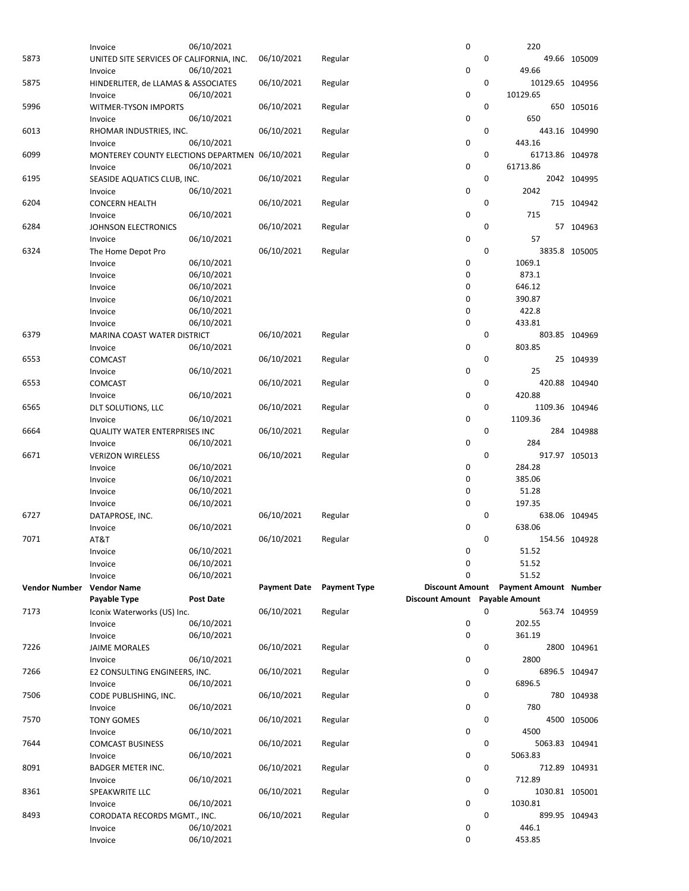|                      | Invoice                                        | 06/10/2021               |                     |                     | 0                              |             | 220                          |               |
|----------------------|------------------------------------------------|--------------------------|---------------------|---------------------|--------------------------------|-------------|------------------------------|---------------|
| 5873                 | UNITED SITE SERVICES OF CALIFORNIA, INC.       |                          | 06/10/2021          | Regular             |                                | $\mathbf 0$ |                              | 49.66 105009  |
|                      | Invoice                                        | 06/10/2021               |                     |                     | $\mathbf 0$                    |             | 49.66                        |               |
| 5875                 | HINDERLITER, de LLAMAS & ASSOCIATES            |                          | 06/10/2021          | Regular             |                                | 0           | 10129.65 104956              |               |
|                      |                                                | 06/10/2021               |                     |                     | $\mathbf 0$                    |             | 10129.65                     |               |
|                      | Invoice                                        |                          |                     |                     |                                |             |                              |               |
| 5996                 | WITMER-TYSON IMPORTS                           |                          | 06/10/2021          | Regular             |                                | 0           |                              | 650 105016    |
|                      | Invoice                                        | 06/10/2021               |                     |                     | 0                              |             | 650                          |               |
| 6013                 | RHOMAR INDUSTRIES, INC.                        |                          | 06/10/2021          | Regular             |                                | 0           | 443.16 104990                |               |
|                      | Invoice                                        | 06/10/2021               |                     |                     | 0                              |             | 443.16                       |               |
| 6099                 | MONTEREY COUNTY ELECTIONS DEPARTMEN 06/10/2021 |                          |                     | Regular             |                                | 0           | 61713.86 104978              |               |
|                      | Invoice                                        | 06/10/2021               |                     |                     | $\mathbf 0$                    |             | 61713.86                     |               |
| 6195                 | SEASIDE AQUATICS CLUB, INC.                    |                          | 06/10/2021          | Regular             |                                | 0           |                              | 2042 104995   |
|                      | Invoice                                        | 06/10/2021               |                     |                     | $\mathbf 0$                    |             | 2042                         |               |
| 6204                 | <b>CONCERN HEALTH</b>                          |                          | 06/10/2021          | Regular             |                                | 0           |                              | 715 104942    |
|                      | Invoice                                        | 06/10/2021               |                     |                     | $\mathbf 0$                    |             | 715                          |               |
| 6284                 | <b>JOHNSON ELECTRONICS</b>                     |                          | 06/10/2021          | Regular             |                                | 0           |                              | 57 104963     |
|                      |                                                |                          |                     |                     | 0                              |             | 57                           |               |
|                      | Invoice                                        | 06/10/2021               |                     |                     |                                |             |                              |               |
| 6324                 | The Home Depot Pro                             |                          | 06/10/2021          | Regular             |                                | 0           |                              | 3835.8 105005 |
|                      | Invoice                                        | 06/10/2021               |                     |                     | 0                              |             | 1069.1                       |               |
|                      | Invoice                                        | 06/10/2021               |                     |                     | $\mathbf 0$                    |             | 873.1                        |               |
|                      | Invoice                                        | 06/10/2021               |                     |                     | 0                              |             | 646.12                       |               |
|                      | Invoice                                        | 06/10/2021               |                     |                     | 0                              |             | 390.87                       |               |
|                      | Invoice                                        | 06/10/2021               |                     |                     | 0                              |             | 422.8                        |               |
|                      | Invoice                                        | 06/10/2021               |                     |                     | $\mathbf 0$                    |             | 433.81                       |               |
| 6379                 | MARINA COAST WATER DISTRICT                    |                          | 06/10/2021          | Regular             |                                | 0           |                              | 803.85 104969 |
|                      | Invoice                                        | 06/10/2021               |                     |                     | 0                              |             | 803.85                       |               |
| 6553                 | <b>COMCAST</b>                                 |                          | 06/10/2021          | Regular             |                                | 0           |                              | 25 104939     |
|                      |                                                |                          |                     |                     | $\mathbf 0$                    |             | 25                           |               |
|                      | Invoice                                        | 06/10/2021               |                     |                     |                                |             |                              |               |
| 6553                 | COMCAST                                        |                          | 06/10/2021          | Regular             |                                | 0           |                              | 420.88 104940 |
|                      | Invoice                                        | 06/10/2021               |                     |                     | 0                              |             | 420.88                       |               |
| 6565                 | DLT SOLUTIONS, LLC                             |                          | 06/10/2021          | Regular             |                                | 0           | 1109.36 104946               |               |
|                      | Invoice                                        | 06/10/2021               |                     |                     | $\mathbf 0$                    |             | 1109.36                      |               |
| 6664                 | QUALITY WATER ENTERPRISES INC                  |                          | 06/10/2021          | Regular             |                                | 0           |                              | 284 104988    |
|                      |                                                |                          |                     |                     |                                |             |                              |               |
|                      | Invoice                                        | 06/10/2021               |                     |                     | 0                              |             | 284                          |               |
| 6671                 | <b>VERIZON WIRELESS</b>                        |                          |                     |                     |                                | 0           | 917.97 105013                |               |
|                      |                                                |                          | 06/10/2021          | Regular             |                                |             |                              |               |
|                      | Invoice                                        | 06/10/2021               |                     |                     | 0                              |             | 284.28                       |               |
|                      | Invoice                                        | 06/10/2021               |                     |                     | $\mathbf 0$                    |             | 385.06                       |               |
|                      | Invoice                                        | 06/10/2021               |                     |                     | $\mathbf 0$                    |             | 51.28                        |               |
|                      | Invoice                                        | 06/10/2021               |                     |                     | 0                              |             | 197.35                       |               |
| 6727                 | DATAPROSE, INC.                                |                          | 06/10/2021          | Regular             |                                | 0           |                              | 638.06 104945 |
|                      | Invoice                                        | 06/10/2021               |                     |                     | 0                              |             | 638.06                       |               |
| 7071                 | AT&T                                           |                          | 06/10/2021          | Regular             |                                | 0           |                              | 154.56 104928 |
|                      | Invoice                                        | 06/10/2021               |                     |                     | 0                              |             | 51.52                        |               |
|                      | Invoice                                        | 06/10/2021               |                     |                     | 0                              |             | 51.52                        |               |
|                      | Invoice                                        | 06/10/2021               |                     |                     | 0                              |             | 51.52                        |               |
| <b>Vendor Number</b> |                                                |                          | <b>Payment Date</b> | <b>Payment Type</b> | <b>Discount Amount</b>         |             |                              |               |
|                      | <b>Vendor Name</b>                             | <b>Post Date</b>         |                     |                     |                                |             | <b>Payment Amount Number</b> |               |
|                      | Payable Type                                   |                          |                     |                     | Discount Amount Payable Amount | 0           |                              |               |
| 7173                 | Iconix Waterworks (US) Inc.                    |                          | 06/10/2021          | Regular             |                                |             |                              | 563.74 104959 |
|                      | Invoice                                        | 06/10/2021               |                     |                     | 0                              |             | 202.55                       |               |
|                      | Invoice                                        | 06/10/2021               |                     |                     | $\pmb{0}$                      |             | 361.19                       |               |
| 7226                 | <b>JAIME MORALES</b>                           |                          | 06/10/2021          | Regular             |                                | 0           |                              | 2800 104961   |
|                      | Invoice                                        | 06/10/2021               |                     |                     | 0                              |             | 2800                         |               |
| 7266                 | E2 CONSULTING ENGINEERS, INC.                  |                          | 06/10/2021          | Regular             |                                | 0           |                              | 6896.5 104947 |
|                      | Invoice                                        | 06/10/2021               |                     |                     | $\mathbf 0$                    |             | 6896.5                       |               |
| 7506                 | CODE PUBLISHING, INC.                          |                          | 06/10/2021          | Regular             |                                | 0           |                              | 780 104938    |
|                      | Invoice                                        | 06/10/2021               |                     |                     | $\pmb{0}$                      |             | 780                          |               |
| 7570                 |                                                |                          | 06/10/2021          | Regular             |                                | 0           |                              | 4500 105006   |
|                      | <b>TONY GOMES</b><br>Invoice                   |                          |                     |                     | 0                              |             | 4500                         |               |
|                      |                                                | 06/10/2021               |                     |                     |                                |             |                              |               |
| 7644                 | <b>COMCAST BUSINESS</b>                        |                          | 06/10/2021          | Regular             |                                | 0           | 5063.83 104941               |               |
|                      | Invoice                                        | 06/10/2021               |                     |                     | $\pmb{0}$                      |             | 5063.83                      |               |
| 8091                 | <b>BADGER METER INC.</b>                       |                          | 06/10/2021          | Regular             |                                | 0           |                              | 712.89 104931 |
|                      | Invoice                                        | 06/10/2021               |                     |                     | 0                              |             | 712.89                       |               |
| 8361                 | SPEAKWRITE LLC                                 |                          | 06/10/2021          | Regular             |                                | 0           | 1030.81 105001               |               |
|                      | Invoice                                        | 06/10/2021               |                     |                     | $\pmb{0}$                      |             | 1030.81                      |               |
| 8493                 | CORODATA RECORDS MGMT., INC.                   |                          | 06/10/2021          | Regular             |                                | 0           |                              | 899.95 104943 |
|                      | Invoice<br>Invoice                             | 06/10/2021<br>06/10/2021 |                     |                     | 0<br>0                         |             | 446.1<br>453.85              |               |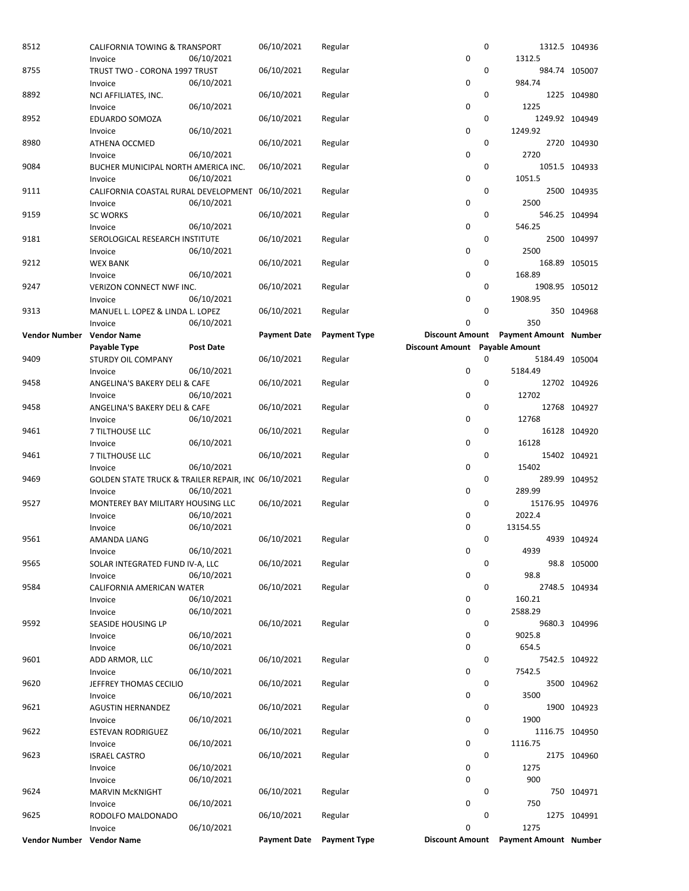| 8512                      | CALIFORNIA TOWING & TRANSPORT                                  | 06/10/2021       | 06/10/2021          | Regular             | 0                                                        | 0 |                              | 1312.5 104936 |
|---------------------------|----------------------------------------------------------------|------------------|---------------------|---------------------|----------------------------------------------------------|---|------------------------------|---------------|
| 8755                      | Invoice<br>TRUST TWO - CORONA 1997 TRUST                       |                  | 06/10/2021          | Regular             |                                                          | 0 | 1312.5                       | 984.74 105007 |
|                           | Invoice                                                        | 06/10/2021       |                     |                     | 0                                                        |   | 984.74                       |               |
| 8892                      | NCI AFFILIATES, INC.<br>Invoice                                | 06/10/2021       | 06/10/2021          | Regular             | 0                                                        | 0 | 1225                         | 1225 104980   |
| 8952                      | EDUARDO SOMOZA                                                 |                  | 06/10/2021          | Regular             |                                                          | 0 | 1249.92 104949               |               |
|                           | Invoice                                                        | 06/10/2021       |                     |                     | 0                                                        |   | 1249.92                      |               |
| 8980                      | ATHENA OCCMED<br>Invoice                                       | 06/10/2021       | 06/10/2021          | Regular             | 0                                                        | 0 | 2720                         | 2720 104930   |
| 9084                      | BUCHER MUNICIPAL NORTH AMERICA INC.                            |                  | 06/10/2021          | Regular             |                                                          | 0 |                              | 1051.5 104933 |
|                           | Invoice                                                        | 06/10/2021       |                     |                     | 0                                                        | 0 | 1051.5                       |               |
| 9111                      | CALIFORNIA COASTAL RURAL DEVELOPMENT<br>Invoice                | 06/10/2021       | 06/10/2021          | Regular             | 0                                                        |   | 2500                         | 2500 104935   |
| 9159                      | <b>SC WORKS</b>                                                |                  | 06/10/2021          | Regular             |                                                          | 0 |                              | 546.25 104994 |
| 9181                      | Invoice                                                        | 06/10/2021       | 06/10/2021          |                     | 0                                                        | 0 | 546.25                       | 2500 104997   |
|                           | SEROLOGICAL RESEARCH INSTITUTE<br>Invoice                      | 06/10/2021       |                     | Regular             | 0                                                        |   | 2500                         |               |
| 9212                      | <b>WEX BANK</b>                                                |                  | 06/10/2021          | Regular             |                                                          | 0 |                              | 168.89 105015 |
|                           | Invoice                                                        | 06/10/2021       |                     |                     | 0                                                        |   | 168.89                       |               |
| 9247                      | <b>VERIZON CONNECT NWF INC.</b><br>Invoice                     | 06/10/2021       | 06/10/2021          | Regular             | 0                                                        | 0 | 1908.95 105012<br>1908.95    |               |
| 9313                      | MANUEL L. LOPEZ & LINDA L. LOPEZ                               |                  | 06/10/2021          | Regular             |                                                          | 0 |                              | 350 104968    |
|                           | Invoice                                                        | 06/10/2021       |                     |                     | 0                                                        |   | 350                          |               |
| <b>Vendor Number</b>      | <b>Vendor Name</b><br>Payable Type                             | <b>Post Date</b> | <b>Payment Date</b> | <b>Payment Type</b> | <b>Discount Amount</b><br>Discount Amount Payable Amount |   | <b>Payment Amount Number</b> |               |
| 9409                      | STURDY OIL COMPANY                                             |                  | 06/10/2021          | Regular             |                                                          | 0 | 5184.49 105004               |               |
|                           | Invoice                                                        | 06/10/2021       |                     |                     | 0                                                        |   | 5184.49                      |               |
| 9458                      | ANGELINA'S BAKERY DELI & CAFE<br>Invoice                       | 06/10/2021       | 06/10/2021          | Regular             | 0                                                        | 0 | 12702                        | 12702 104926  |
| 9458                      | ANGELINA'S BAKERY DELI & CAFE                                  |                  | 06/10/2021          | Regular             |                                                          | 0 |                              | 12768 104927  |
|                           | Invoice                                                        | 06/10/2021       |                     |                     | 0                                                        |   | 12768                        |               |
| 9461                      | 7 TILTHOUSE LLC<br>Invoice                                     | 06/10/2021       | 06/10/2021          | Regular             | 0                                                        | 0 | 16128                        | 16128 104920  |
| 9461                      | 7 TILTHOUSE LLC                                                |                  | 06/10/2021          | Regular             |                                                          | 0 |                              | 15402 104921  |
|                           | Invoice                                                        | 06/10/2021       |                     |                     | 0                                                        |   | 15402                        |               |
| 9469                      | GOLDEN STATE TRUCK & TRAILER REPAIR, INC 06/10/2021<br>Invoice | 06/10/2021       |                     | Regular             | 0                                                        | 0 | 289.99                       | 289.99 104952 |
| 9527                      | MONTEREY BAY MILITARY HOUSING LLC                              |                  | 06/10/2021          | Regular             |                                                          | 0 | 15176.95 104976              |               |
|                           | Invoice                                                        | 06/10/2021       |                     |                     | 0<br>0                                                   |   | 2022.4                       |               |
| 9561                      | Invoice<br><b>AMANDA LIANG</b>                                 | 06/10/2021       | 06/10/2021          | Regular             |                                                          | 0 | 13154.55                     | 4939 104924   |
|                           | Invoice                                                        | 06/10/2021       |                     |                     | 0                                                        |   | 4939                         |               |
| 9565                      | SOLAR INTEGRATED FUND IV-A, LLC                                |                  | 06/10/2021          | Regular             | 0                                                        | 0 | 98.8                         | 98.8 105000   |
| 9584                      | Invoice<br>CALIFORNIA AMERICAN WATER                           | 06/10/2021       | 06/10/2021          | Regular             |                                                          | 0 |                              | 2748.5 104934 |
|                           | Invoice                                                        | 06/10/2021       |                     |                     | 0                                                        |   | 160.21                       |               |
| 9592                      | Invoice<br>SEASIDE HOUSING LP                                  | 06/10/2021       | 06/10/2021          | Regular             | 0                                                        | 0 | 2588.29                      | 9680.3 104996 |
|                           | Invoice                                                        | 06/10/2021       |                     |                     | 0                                                        |   | 9025.8                       |               |
|                           | Invoice                                                        | 06/10/2021       |                     |                     | 0                                                        |   | 654.5                        |               |
| 9601                      | ADD ARMOR, LLC<br>Invoice                                      | 06/10/2021       | 06/10/2021          | Regular             | 0                                                        | 0 | 7542.5                       | 7542.5 104922 |
| 9620                      | JEFFREY THOMAS CECILIO                                         |                  | 06/10/2021          | Regular             |                                                          | 0 |                              | 3500 104962   |
|                           | Invoice                                                        | 06/10/2021       |                     |                     | 0                                                        |   | 3500                         |               |
| 9621                      | <b>AGUSTIN HERNANDEZ</b>                                       | 06/10/2021       | 06/10/2021          | Regular             | 0                                                        | 0 | 1900                         | 1900 104923   |
| 9622                      | Invoice<br>ESTEVAN RODRIGUEZ                                   |                  | 06/10/2021          | Regular             |                                                          | 0 | 1116.75 104950               |               |
|                           | Invoice                                                        | 06/10/2021       |                     |                     | 0                                                        |   | 1116.75                      |               |
| 9623                      | <b>ISRAEL CASTRO</b><br>Invoice                                | 06/10/2021       | 06/10/2021          | Regular             | 0                                                        | 0 | 1275                         | 2175 104960   |
|                           | Invoice                                                        | 06/10/2021       |                     |                     | 0                                                        |   | 900                          |               |
| 9624                      | <b>MARVIN MCKNIGHT</b>                                         |                  | 06/10/2021          | Regular             |                                                          | 0 |                              | 750 104971    |
| 9625                      | Invoice<br>RODOLFO MALDONADO                                   | 06/10/2021       | 06/10/2021          | Regular             | 0                                                        | 0 | 750                          | 1275 104991   |
|                           | Invoice                                                        | 06/10/2021       |                     |                     | 0                                                        |   | 1275                         |               |
| Vendor Number Vendor Name |                                                                |                  | <b>Payment Date</b> | <b>Payment Type</b> | <b>Discount Amount</b>                                   |   | <b>Payment Amount Number</b> |               |